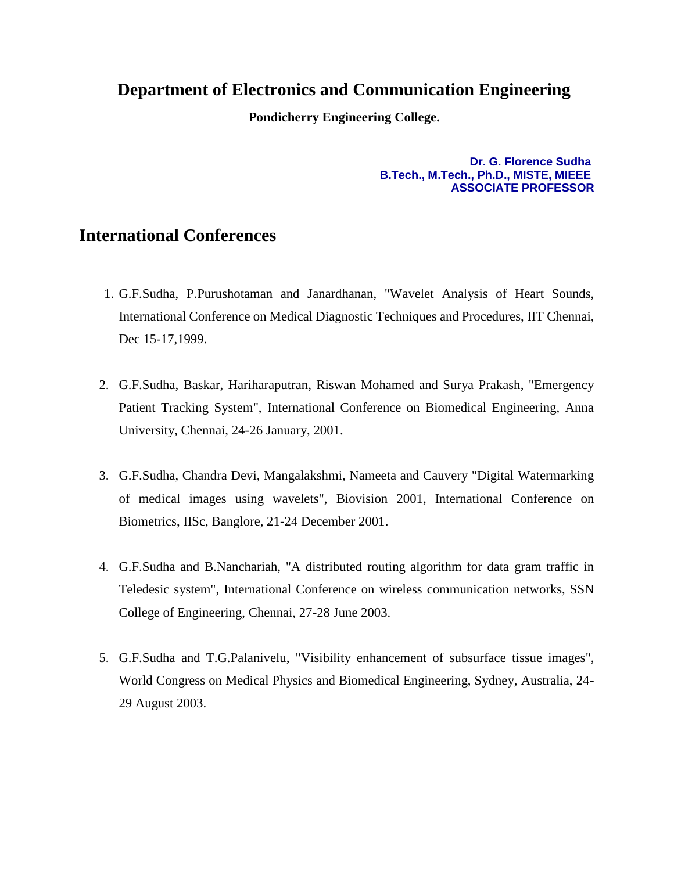## **Department of Electronics and Communication Engineering**

**Pondicherry Engineering College.**

## **Dr. G. Florence Sudha B.Tech., M.Tech., Ph.D., MISTE, MIEEE ASSOCIATE PROFESSOR**

## **International Conferences**

- 1. G.F.Sudha, P.Purushotaman and Janardhanan, "Wavelet Analysis of Heart Sounds, International Conference on Medical Diagnostic Techniques and Procedures, IIT Chennai, Dec 15-17,1999.
- 2. G.F.Sudha, Baskar, Hariharaputran, Riswan Mohamed and Surya Prakash, "Emergency Patient Tracking System", International Conference on Biomedical Engineering, Anna University, Chennai, 24-26 January, 2001.
- 3. G.F.Sudha, Chandra Devi, Mangalakshmi, Nameeta and Cauvery "Digital Watermarking of medical images using wavelets", Biovision 2001, International Conference on Biometrics, IISc, Banglore, 21-24 December 2001.
- 4. G.F.Sudha and B.Nanchariah, "A distributed routing algorithm for data gram traffic in Teledesic system", International Conference on wireless communication networks, SSN College of Engineering, Chennai, 27-28 June 2003.
- 5. G.F.Sudha and T.G.Palanivelu, "Visibility enhancement of subsurface tissue images", World Congress on Medical Physics and Biomedical Engineering, Sydney, Australia, 24- 29 August 2003.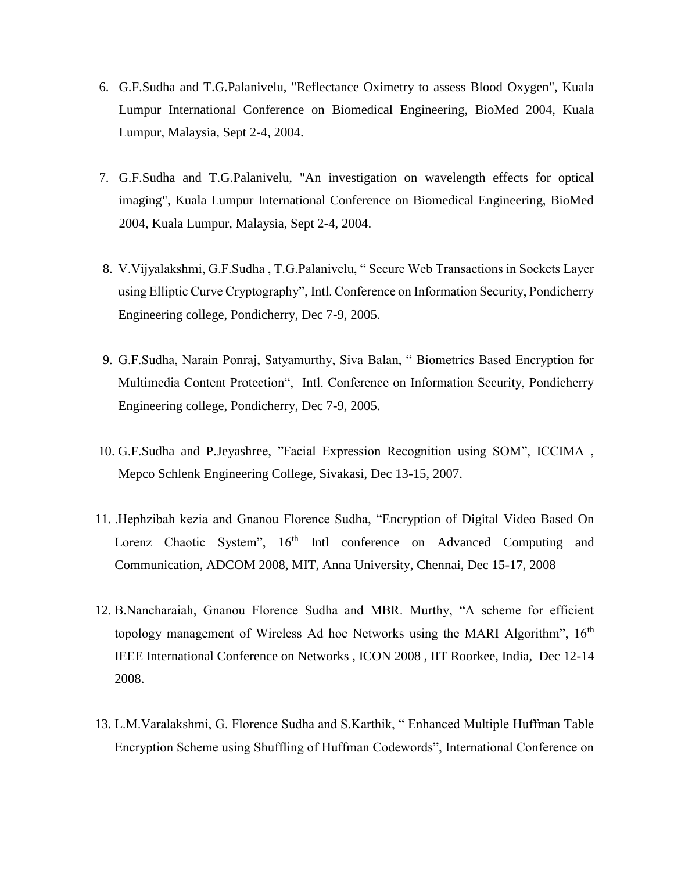- 6. G.F.Sudha and T.G.Palanivelu, "Reflectance Oximetry to assess Blood Oxygen", Kuala Lumpur International Conference on Biomedical Engineering, BioMed 2004, Kuala Lumpur, Malaysia, Sept 2-4, 2004.
- 7. G.F.Sudha and T.G.Palanivelu, "An investigation on wavelength effects for optical imaging", Kuala Lumpur International Conference on Biomedical Engineering, BioMed 2004, Kuala Lumpur, Malaysia, Sept 2-4, 2004.
- 8. V.Vijyalakshmi, G.F.Sudha , T.G.Palanivelu, " Secure Web Transactions in Sockets Layer using Elliptic Curve Cryptography", Intl. Conference on Information Security, Pondicherry Engineering college, Pondicherry, Dec 7-9, 2005.
- 9. G.F.Sudha, Narain Ponraj, Satyamurthy, Siva Balan, " Biometrics Based Encryption for Multimedia Content Protection", Intl. Conference on Information Security, Pondicherry Engineering college, Pondicherry, Dec 7-9, 2005.
- 10. G.F.Sudha and P.Jeyashree, "Facial Expression Recognition using SOM", ICCIMA , Mepco Schlenk Engineering College, Sivakasi, Dec 13-15, 2007.
- 11. .Hephzibah kezia and Gnanou Florence Sudha, "Encryption of Digital Video Based On Lorenz Chaotic System", 16<sup>th</sup> Intl conference on Advanced Computing and Communication, ADCOM 2008, MIT, Anna University, Chennai, Dec 15-17, 2008
- 12. B.Nancharaiah, Gnanou Florence Sudha and MBR. Murthy, "A scheme for efficient topology management of Wireless Ad hoc Networks using the MARI Algorithm", 16<sup>th</sup> IEEE International Conference on Networks , ICON 2008 , IIT Roorkee, India, Dec 12-14 2008.
- 13. L.M.Varalakshmi, G. Florence Sudha and S.Karthik, " Enhanced Multiple Huffman Table Encryption Scheme using Shuffling of Huffman Codewords", International Conference on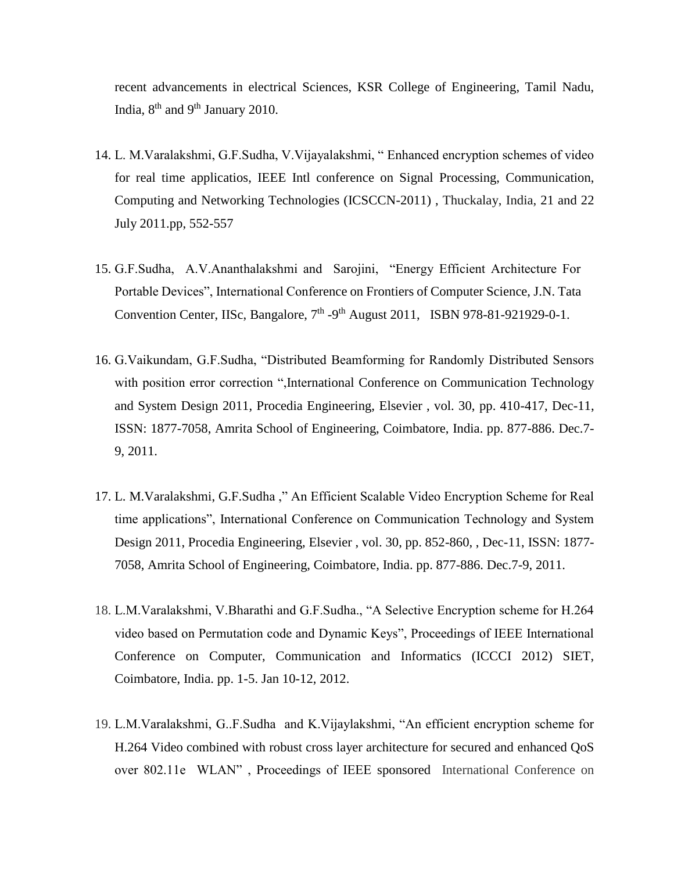recent advancements in electrical Sciences, KSR College of Engineering, Tamil Nadu, India, 8<sup>th</sup> and 9<sup>th</sup> January 2010.

- 14. L. M.Varalakshmi, G.F.Sudha, V.Vijayalakshmi, " Enhanced encryption schemes of video for real time applicatios, IEEE Intl conference on Signal Processing, Communication, Computing and Networking Technologies (ICSCCN-2011) , Thuckalay, India, 21 and 22 July 2011.pp, 552-557
- 15. G.F.Sudha, A.V.Ananthalakshmi and Sarojini, "Energy Efficient Architecture For Portable Devices", International Conference on Frontiers of Computer Science, J.N. Tata Convention Center, IISc, Bangalore,  $7<sup>th</sup>$ -9<sup>th</sup> August 2011, ISBN 978-81-921929-0-1.
- 16. G.Vaikundam, G.F.Sudha, "Distributed Beamforming for Randomly Distributed Sensors with position error correction ",International Conference on Communication Technology and System Design 2011, Procedia Engineering, Elsevier , vol. 30, pp. 410-417, Dec-11, ISSN: 1877-7058, Amrita School of Engineering, Coimbatore, India. pp. 877-886. Dec.7- 9, 2011.
- 17. L. M.Varalakshmi, G.F.Sudha ," An Efficient Scalable Video Encryption Scheme for Real time applications", International Conference on Communication Technology and System Design 2011, Procedia Engineering, Elsevier , vol. 30, pp. 852-860, , Dec-11, ISSN: 1877- 7058, Amrita School of Engineering, Coimbatore, India. pp. 877-886. Dec.7-9, 2011.
- 18. L.M.Varalakshmi, V.Bharathi and G.F.Sudha., "A Selective Encryption scheme for H.264 video based on Permutation code and Dynamic Keys", Proceedings of IEEE International Conference on Computer, Communication and Informatics (ICCCI 2012) SIET, Coimbatore, India. pp. 1-5. Jan 10-12, 2012.
- 19. L.M.Varalakshmi, G..F.Sudha and K.Vijaylakshmi, "An efficient encryption scheme for H.264 Video combined with robust cross layer architecture for secured and enhanced QoS over 802.11e WLAN" , Proceedings of IEEE sponsored International Conference on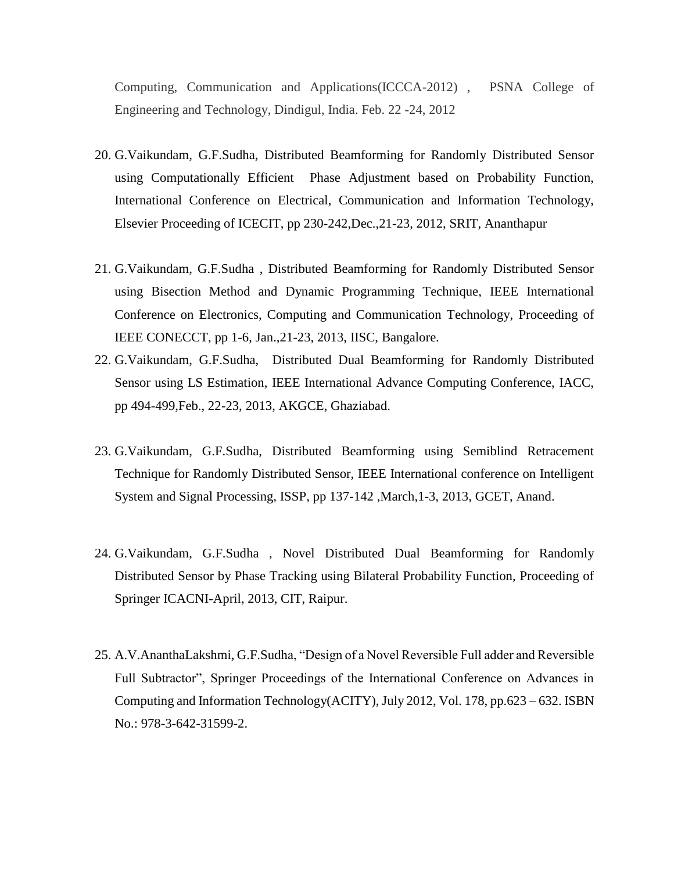Computing, Communication and Applications(ICCCA-2012) , PSNA College of Engineering and Technology, Dindigul, India. Feb. 22 -24, 2012

- 20. G.Vaikundam, G.F.Sudha, Distributed Beamforming for Randomly Distributed Sensor using Computationally Efficient Phase Adjustment based on Probability Function, International Conference on Electrical, Communication and Information Technology, Elsevier Proceeding of ICECIT, pp 230-242,Dec.,21-23, 2012, SRIT, Ananthapur
- 21. G.Vaikundam, G.F.Sudha , Distributed Beamforming for Randomly Distributed Sensor using Bisection Method and Dynamic Programming Technique, IEEE International Conference on Electronics, Computing and Communication Technology, Proceeding of IEEE CONECCT, pp 1-6, Jan.,21-23, 2013, IISC, Bangalore.
- 22. G.Vaikundam, G.F.Sudha, Distributed Dual Beamforming for Randomly Distributed Sensor using LS Estimation, IEEE International Advance Computing Conference, IACC, pp 494-499,Feb., 22-23, 2013, AKGCE, Ghaziabad.
- 23. G.Vaikundam, G.F.Sudha, Distributed Beamforming using Semiblind Retracement Technique for Randomly Distributed Sensor, IEEE International conference on Intelligent System and Signal Processing, ISSP, pp 137-142 ,March,1-3, 2013, GCET, Anand.
- 24. G.Vaikundam, G.F.Sudha , Novel Distributed Dual Beamforming for Randomly Distributed Sensor by Phase Tracking using Bilateral Probability Function, Proceeding of Springer ICACNI-April, 2013, CIT, Raipur.
- 25. A.V.AnanthaLakshmi, G.F.Sudha, "Design of a Novel Reversible Full adder and Reversible Full Subtractor", Springer Proceedings of the International Conference on Advances in Computing and Information Technology(ACITY), July 2012, Vol. 178, pp.623 – 632. ISBN No.: 978-3-642-31599-2.